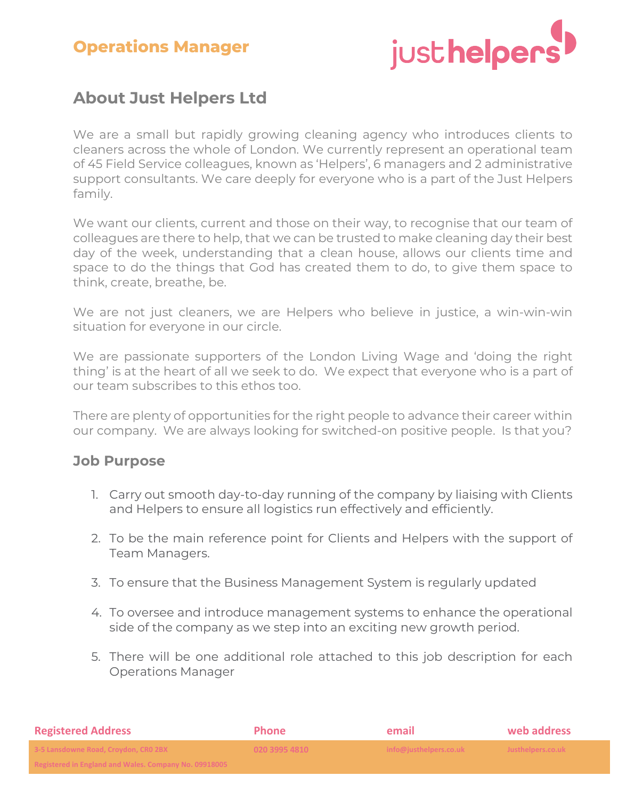# **Operations Manager**



## **About Just Helpers Ltd**

We are a small but rapidly growing cleaning agency who introduces clients to cleaners across the whole of London. We currently represent an operational team of 45 Field Service colleagues, known as 'Helpers', 6 managers and 2 administrative support consultants. We care deeply for everyone who is a part of the Just Helpers family.

We want our clients, current and those on their way, to recognise that our team of colleagues are there to help, that we can be trusted to make cleaning day their best day of the week, understanding that a clean house, allows our clients time and space to do the things that God has created them to do, to give them space to think, create, breathe, be.

We are not just cleaners, we are Helpers who believe in justice, a win-win-win situation for everyone in our circle.

We are passionate supporters of the London Living Wage and 'doing the right thing' is at the heart of all we seek to do. We expect that everyone who is a part of our team subscribes to this ethos too.

There are plenty of opportunities for the right people to advance their career within our company. We are always looking for switched-on positive people. Is that you?

#### **Job Purpose**

- 1. Carry out smooth day-to-day running of the company by liaising with Clients and Helpers to ensure all logistics run effectively and efficiently.
- 2. To be the main reference point for Clients and Helpers with the support of Team Managers.
- 3. To ensure that the Business Management System is regularly updated
- 4. To oversee and introduce management systems to enhance the operational side of the company as we step into an exciting new growth period.
- 5. There will be one additional role attached to this job description for each Operations Manager

| <b>Registered Address</b>                                                                                                       | <b>Phone</b>  | email                  | web address       |
|---------------------------------------------------------------------------------------------------------------------------------|---------------|------------------------|-------------------|
| 3-5 Lansdowne Road, Croydon, CRO 2BX                                                                                            | 020 3995 4810 | info@justhelpers.co.uk | Justhelpers.co.uk |
| <b>Pogistared in England and Wales, Company No. 00019005</b><br><b>INCRIBICI CU III ENGINIU ANU VENCS. CONDANY NO. 05516005</b> |               |                        |                   |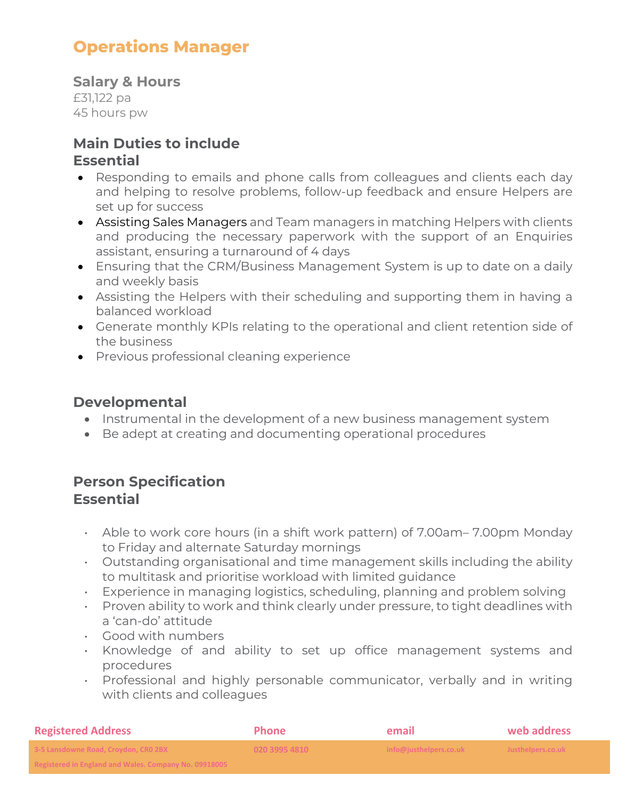# **Operations Manager**

**Salary & Hours** £31,122 pa 45 hours pw

# **Main Duties to include**

#### **Essential**

- Responding to emails and phone calls from colleagues and clients each day and helping to resolve problems, follow-up feedback and ensure Helpers are set up for success
- Assisting Sales Managers and Team managers in matching Helpers with clients and producing the necessary paperwork with the support of an Enquiries assistant, ensuring a turnaround of 4 days
- Ensuring that the CRM/Business Management System is up to date on a daily and weekly basis
- Assisting the Helpers with their scheduling and supporting them in having a balanced workload
- Generate monthly KPIs relating to the operational and client retention side of the business
- Previous professional cleaning experience

#### **Developmental**

- Instrumental in the development of a new business management system
- Be adept at creating and documenting operational procedures

#### **Person Specification Essential**

- Able to work core hours (in a shift work pattern) of 7.00am– 7.00pm Monday to Friday and alternate Saturday mornings
- Outstanding organisational and time management skills including the ability to multitask and prioritise workload with limited guidance
- Experience in managing logistics, scheduling, planning and problem solving
- Proven ability to work and think clearly under pressure, to tight deadlines with a 'can-do' attitude
- Good with numbers
- Knowledge of and ability to set up office management systems and procedures
- Professional and highly personable communicator, verbally and in writing with clients and colleagues

| <b>Registered Address</b>                                                                                                     | <b>Phone</b>  | email                  | web address       |
|-------------------------------------------------------------------------------------------------------------------------------|---------------|------------------------|-------------------|
| 3-5 Lansdowne Road, Croydon, CRO 2BX                                                                                          | 020 3995 4810 | info@justhelpers.co.uk | Justhelpers.co.uk |
| <b>Positioned in England and Wales, Company No. 00018005.</b><br><u>Registered in England and Wales. Company NO. 03316003</u> |               |                        |                   |